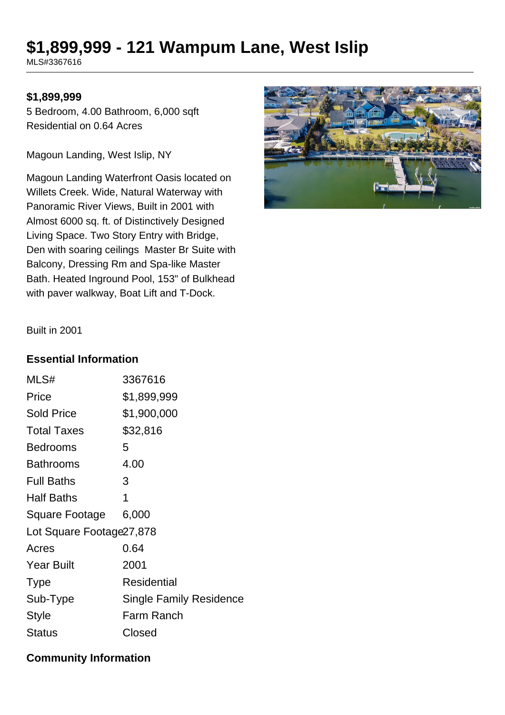# **\$1,899,999 - 121 Wampum Lane, West Islip**

MLS#3367616

#### **\$1,899,999**

5 Bedroom, 4.00 Bathroom, 6,000 sqft Residential on 0.64 Acres

Magoun Landing, West Islip, NY

Magoun Landing Waterfront Oasis located on Willets Creek. Wide, Natural Waterway with Panoramic River Views, Built in 2001 with Almost 6000 sq. ft. of Distinctively Designed Living Space. Two Story Entry with Bridge, Den with soaring ceilings Master Br Suite with Balcony, Dressing Rm and Spa-like Master Bath. Heated Inground Pool, 153" of Bulkhead with paver walkway, Boat Lift and T-Dock.



Built in 2001

#### **Essential Information**

| 3367616                        |  |  |
|--------------------------------|--|--|
| \$1,899,999                    |  |  |
| \$1,900,000                    |  |  |
| \$32,816                       |  |  |
| 5                              |  |  |
| 4.00                           |  |  |
| 3                              |  |  |
| 1                              |  |  |
| 6,000                          |  |  |
| Lot Square Footage 27,878      |  |  |
| 0.64                           |  |  |
| 2001                           |  |  |
| Residential                    |  |  |
| <b>Single Family Residence</b> |  |  |
| Farm Ranch                     |  |  |
| Closed                         |  |  |
|                                |  |  |

## **Community Information**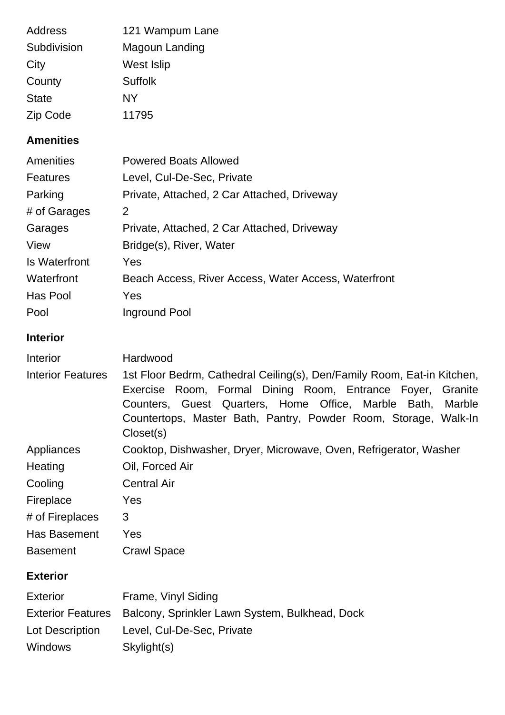| <b>Address</b><br>Subdivision<br>City<br>County<br><b>State</b><br>Zip Code | 121 Wampum Lane<br>Magoun Landing<br>West Islip<br><b>Suffolk</b><br><b>NY</b><br>11795                                                                                                                                                                                             |
|-----------------------------------------------------------------------------|-------------------------------------------------------------------------------------------------------------------------------------------------------------------------------------------------------------------------------------------------------------------------------------|
| <b>Amenities</b>                                                            |                                                                                                                                                                                                                                                                                     |
| <b>Amenities</b>                                                            | <b>Powered Boats Allowed</b>                                                                                                                                                                                                                                                        |
| <b>Features</b>                                                             | Level, Cul-De-Sec, Private                                                                                                                                                                                                                                                          |
| Parking                                                                     | Private, Attached, 2 Car Attached, Driveway                                                                                                                                                                                                                                         |
| # of Garages                                                                | 2                                                                                                                                                                                                                                                                                   |
| Garages                                                                     | Private, Attached, 2 Car Attached, Driveway                                                                                                                                                                                                                                         |
| View                                                                        | Bridge(s), River, Water                                                                                                                                                                                                                                                             |
| <b>Is Waterfront</b>                                                        | Yes                                                                                                                                                                                                                                                                                 |
| Waterfront                                                                  | Beach Access, River Access, Water Access, Waterfront                                                                                                                                                                                                                                |
| Has Pool                                                                    | Yes                                                                                                                                                                                                                                                                                 |
| Pool                                                                        | <b>Inground Pool</b>                                                                                                                                                                                                                                                                |
| <b>Interior</b>                                                             |                                                                                                                                                                                                                                                                                     |
| Interior                                                                    | Hardwood                                                                                                                                                                                                                                                                            |
| <b>Interior Features</b>                                                    | 1st Floor Bedrm, Cathedral Ceiling(s), Den/Family Room, Eat-in Kitchen,<br>Exercise Room, Formal Dining Room, Entrance Foyer, Granite<br>Counters, Guest Quarters, Home Office, Marble Bath, Marble<br>Countertops, Master Bath, Pantry, Powder Room, Storage, Walk-In<br>Closed(s) |
| Appliances<br>Heating                                                       | Cooktop, Dishwasher, Dryer, Microwave, Oven, Refrigerator, Washer<br>Oil, Forced Air                                                                                                                                                                                                |
| Cooling                                                                     | <b>Central Air</b>                                                                                                                                                                                                                                                                  |
| Fireplace                                                                   | Yes                                                                                                                                                                                                                                                                                 |
| # of Fireplaces                                                             | 3                                                                                                                                                                                                                                                                                   |
| Has Basement                                                                | Yes                                                                                                                                                                                                                                                                                 |
| <b>Basement</b>                                                             | <b>Crawl Space</b>                                                                                                                                                                                                                                                                  |
| <b>Exterior</b>                                                             |                                                                                                                                                                                                                                                                                     |
| <b>Exterior</b>                                                             | Frame, Vinyl Siding                                                                                                                                                                                                                                                                 |
| <b>Exterior Features</b>                                                    | Balcony, Sprinkler Lawn System, Bulkhead, Dock                                                                                                                                                                                                                                      |
| Lot Description                                                             | Level, Cul-De-Sec, Private                                                                                                                                                                                                                                                          |
| <b>Windows</b>                                                              | Skylight(s)                                                                                                                                                                                                                                                                         |